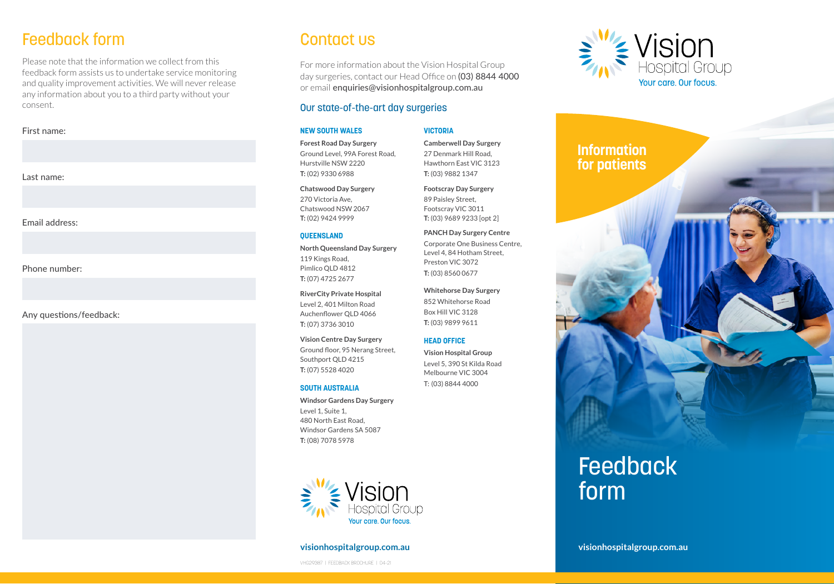# Feedback form

Please note that the information we collect from this feedback form assists us to undertake service monitoring and quality improvement activities. We will never release any information about you to a third party without your consent.

#### First name:

Last name:

Email address:

Phone number:

Any questions/feedback:

### Contact us

For more information about the Vision Hospital Group day surgeries, contact our Head Office on (03) 8844 4000 or email enquiries@visionhospitalgroup.com.au

**VICTORIA**

**Camberwell Day Surgery** 27 Denmark Hill Road, Hawthorn East VIC 3123 **T:** (03) 9882 1347 **Footscray Day Surgery**  89 Paisley Street, Footscray VIC 3011 **T:** (03) 9689 9233 [opt 2] **PANCH Day Surgery Centre** Corporate One Business Centre, Level 4, 84 Hotham Street, Preston VIC 3072 **T:** (03) 8560 0677

**Whitehorse Day Surgery** 852 Whitehorse Road Box Hill VIC 3128 **T:** (03) 9899 9611 **HEAD OFFICE Vision Hospital Group** Level 5, 390 St Kilda Road Melbourne VIC 3004 T: (03) 8844 4000

#### Our state-of-the-art day surgeries

#### **NEW SOUTH WALES**

**Forest Road Day Surgery** Ground Level, 99A Forest Road, Hurstville NSW 2220 **T:** (02) 9330 6988

#### **Chatswood Day Surgery**

270 Victoria Ave, Chatswood NSW 2067 **T:** (02) 9424 9999

#### **QUEENSLAND**

**North Queensland Day Surgery** 119 Kings Road, Pimlico QLD 4812 **T:** (07) 4725 2677

**RiverCity Private Hospital**  Level 2, 401 Milton Road Auchenflower QLD 4066 **T:** (07) 3736 3010

**Vision Centre Day Surgery**  Ground floor, 95 Nerang Street, Southport QLD 4215 **T:** (07) 5528 4020

#### **SOUTH AUSTRALIA**

**Windsor Gardens Day Surgery** Level 1, Suite 1, 480 North East Road, Windsor Gardens SA 5087 **T:** (08) 7078 5978



#### **visionhospitalgroup.com.au**

VHG29387 | FEEDBACK BROCHURE | 04-21



# **Information for patients**



# Feedback form

**visionhospitalgroup.com.au**